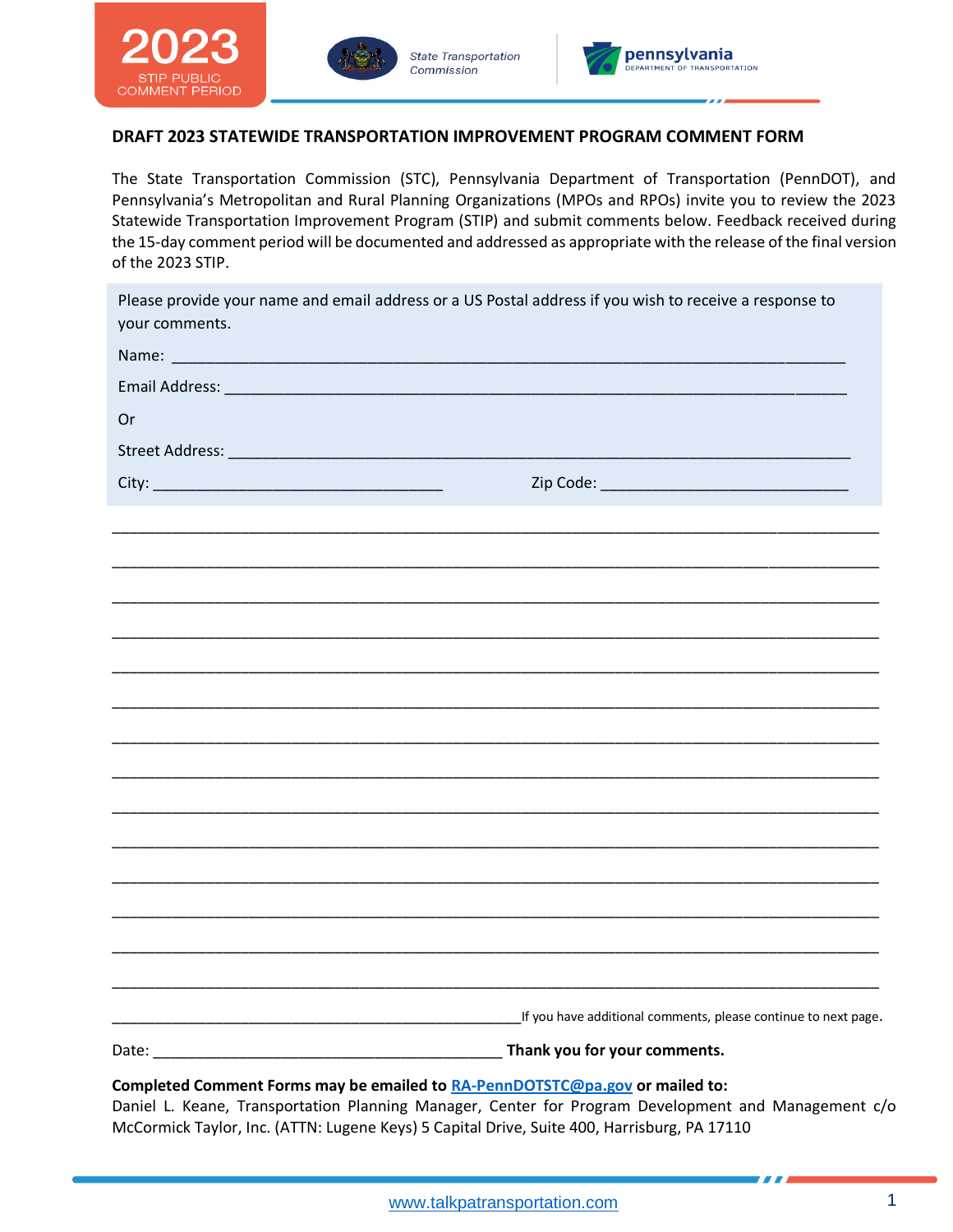





## **DRAFT 2023 STATEWIDE TRANSPORTATION IMPROVEMENT PROGRAM COMMENT FORM**

The State Transportation Commission (STC), Pennsylvania Department of Transportation (PennDOT), and Pennsylvania's Metropolitan and Rural Planning Organizations (MPOs and RPOs) invite you to review the 2023 Statewide Transportation Improvement Program (STIP) and submit comments below. Feedback received during the 15-day comment period will be documented and addressed as appropriate with the release of the final version of the 2023 STIP.

| Please provide your name and email address or a US Postal address if you wish to receive a response to<br>your comments. |                                                                |
|--------------------------------------------------------------------------------------------------------------------------|----------------------------------------------------------------|
|                                                                                                                          |                                                                |
|                                                                                                                          |                                                                |
| Or                                                                                                                       |                                                                |
|                                                                                                                          |                                                                |
|                                                                                                                          |                                                                |
|                                                                                                                          |                                                                |
|                                                                                                                          |                                                                |
|                                                                                                                          |                                                                |
|                                                                                                                          |                                                                |
|                                                                                                                          |                                                                |
|                                                                                                                          |                                                                |
|                                                                                                                          |                                                                |
|                                                                                                                          |                                                                |
|                                                                                                                          |                                                                |
|                                                                                                                          |                                                                |
|                                                                                                                          |                                                                |
|                                                                                                                          |                                                                |
|                                                                                                                          |                                                                |
|                                                                                                                          |                                                                |
|                                                                                                                          |                                                                |
|                                                                                                                          | If you have additional comments, please continue to next page. |
| Thank you for your comments.                                                                                             |                                                                |

**Completed Comment Forms may be emailed to [RA-PennDOTSTC@pa.gov](mailto:RA-PennDOTSTC@pa.gov) or mailed to:**

Daniel L. Keane, Transportation Planning Manager, Center for Program Development and Management c/o McCormick Taylor, Inc. (ATTN: Lugene Keys) 5 Capital Drive, Suite 400, Harrisburg, PA 17110